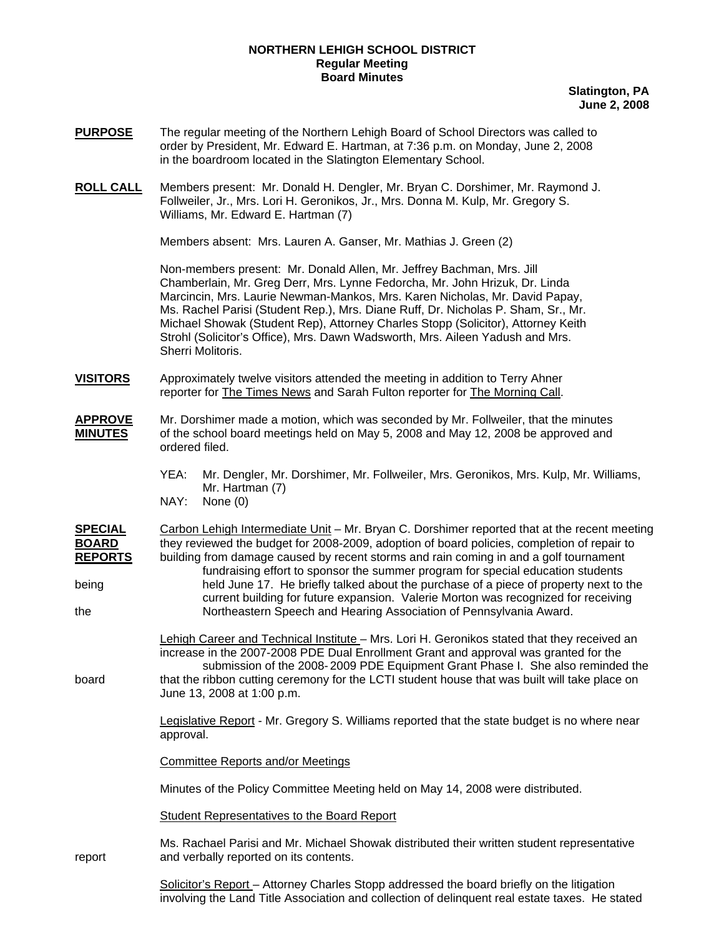### **NORTHERN LEHIGH SCHOOL DISTRICT Regular Meeting Board Minutes**

**Slatington, PA June 2, 2008**

- **PURPOSE** The regular meeting of the Northern Lehigh Board of School Directors was called to order by President, Mr. Edward E. Hartman, at 7:36 p.m. on Monday, June 2, 2008 in the boardroom located in the Slatington Elementary School.
- **ROLL CALL** Members present: Mr. Donald H. Dengler, Mr. Bryan C. Dorshimer, Mr. Raymond J. Follweiler, Jr., Mrs. Lori H. Geronikos, Jr., Mrs. Donna M. Kulp, Mr. Gregory S. Williams, Mr. Edward E. Hartman (7)

Members absent: Mrs. Lauren A. Ganser, Mr. Mathias J. Green (2)

Non-members present: Mr. Donald Allen, Mr. Jeffrey Bachman, Mrs. Jill Chamberlain, Mr. Greg Derr, Mrs. Lynne Fedorcha, Mr. John Hrizuk, Dr. Linda Marcincin, Mrs. Laurie Newman-Mankos, Mrs. Karen Nicholas, Mr. David Papay, Ms. Rachel Parisi (Student Rep.), Mrs. Diane Ruff, Dr. Nicholas P. Sham, Sr., Mr. Michael Showak (Student Rep), Attorney Charles Stopp (Solicitor), Attorney Keith Strohl (Solicitor's Office), Mrs. Dawn Wadsworth, Mrs. Aileen Yadush and Mrs. Sherri Molitoris.

- **VISITORS** Approximately twelve visitors attended the meeting in addition to Terry Ahner reporter for The Times News and Sarah Fulton reporter for The Morning Call.
- **APPROVE** Mr. Dorshimer made a motion, which was seconded by Mr. Follweiler, that the minutes **MINUTES** of the school board meetings held on May 5, 2008 and May 12, 2008 be approved and ordered filed.
	- YEA: Mr. Dengler, Mr. Dorshimer, Mr. Follweiler, Mrs. Geronikos, Mrs. Kulp, Mr. Williams, Mr. Hartman (7)<br>NAY: None (0)
	- None (0)

**SPECIAL** Carbon Lehigh Intermediate Unit – Mr. Bryan C. Dorshimer reported that at the recent meeting **BOARD** they reviewed the budget for 2008-2009, adoption of board policies, completion of repair to **REPORTS** building from damage caused by recent storms and rain coming in and a golf tournament fundraising effort to sponsor the summer program for special education students being held June 17. He briefly talked about the purchase of a piece of property next to the current building for future expansion. Valerie Morton was recognized for receiving the Northeastern Speech and Hearing Association of Pennsylvania Award.

 Lehigh Career and Technical Institute – Mrs. Lori H. Geronikos stated that they received an increase in the 2007-2008 PDE Dual Enrollment Grant and approval was granted for the submission of the 2008- 2009 PDE Equipment Grant Phase I. She also reminded the board that the ribbon cutting ceremony for the LCTI student house that was built will take place on June 13, 2008 at 1:00 p.m.

> Legislative Report - Mr. Gregory S. Williams reported that the state budget is no where near approval.

Committee Reports and/or Meetings

Minutes of the Policy Committee Meeting held on May 14, 2008 were distributed.

Student Representatives to the Board Report

Ms. Rachael Parisi and Mr. Michael Showak distributed their written student representative report and verbally reported on its contents.

> Solicitor's Report – Attorney Charles Stopp addressed the board briefly on the litigation involving the Land Title Association and collection of delinquent real estate taxes. He stated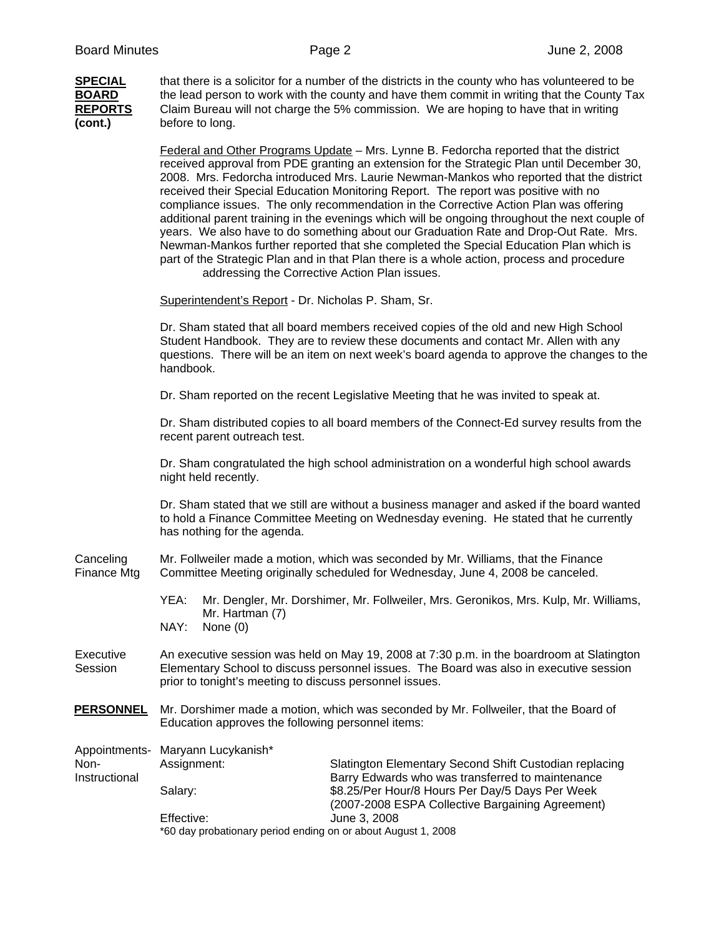| <b>SPECIAL</b><br><b>BOARD</b><br><b>REPORTS</b><br>(cont.) | that there is a solicitor for a number of the districts in the county who has volunteered to be<br>the lead person to work with the county and have them commit in writing that the County Tax<br>Claim Bureau will not charge the 5% commission. We are hoping to have that in writing<br>before to long.                                                                                                                                                                                                                                                                                                                                                                                                                                                                                                                                                                                        |                                                                                                                                                         |  |  |  |
|-------------------------------------------------------------|---------------------------------------------------------------------------------------------------------------------------------------------------------------------------------------------------------------------------------------------------------------------------------------------------------------------------------------------------------------------------------------------------------------------------------------------------------------------------------------------------------------------------------------------------------------------------------------------------------------------------------------------------------------------------------------------------------------------------------------------------------------------------------------------------------------------------------------------------------------------------------------------------|---------------------------------------------------------------------------------------------------------------------------------------------------------|--|--|--|
|                                                             | Federal and Other Programs Update - Mrs. Lynne B. Fedorcha reported that the district<br>received approval from PDE granting an extension for the Strategic Plan until December 30,<br>2008. Mrs. Fedorcha introduced Mrs. Laurie Newman-Mankos who reported that the district<br>received their Special Education Monitoring Report. The report was positive with no<br>compliance issues. The only recommendation in the Corrective Action Plan was offering<br>additional parent training in the evenings which will be ongoing throughout the next couple of<br>years. We also have to do something about our Graduation Rate and Drop-Out Rate. Mrs.<br>Newman-Mankos further reported that she completed the Special Education Plan which is<br>part of the Strategic Plan and in that Plan there is a whole action, process and procedure<br>addressing the Corrective Action Plan issues. |                                                                                                                                                         |  |  |  |
|                                                             | Superintendent's Report - Dr. Nicholas P. Sham, Sr.                                                                                                                                                                                                                                                                                                                                                                                                                                                                                                                                                                                                                                                                                                                                                                                                                                               |                                                                                                                                                         |  |  |  |
|                                                             | Dr. Sham stated that all board members received copies of the old and new High School<br>Student Handbook. They are to review these documents and contact Mr. Allen with any<br>questions. There will be an item on next week's board agenda to approve the changes to the<br>handbook.                                                                                                                                                                                                                                                                                                                                                                                                                                                                                                                                                                                                           |                                                                                                                                                         |  |  |  |
|                                                             | Dr. Sham reported on the recent Legislative Meeting that he was invited to speak at.                                                                                                                                                                                                                                                                                                                                                                                                                                                                                                                                                                                                                                                                                                                                                                                                              |                                                                                                                                                         |  |  |  |
|                                                             | Dr. Sham distributed copies to all board members of the Connect-Ed survey results from the<br>recent parent outreach test.                                                                                                                                                                                                                                                                                                                                                                                                                                                                                                                                                                                                                                                                                                                                                                        |                                                                                                                                                         |  |  |  |
|                                                             | Dr. Sham congratulated the high school administration on a wonderful high school awards<br>night held recently.                                                                                                                                                                                                                                                                                                                                                                                                                                                                                                                                                                                                                                                                                                                                                                                   |                                                                                                                                                         |  |  |  |
|                                                             | Dr. Sham stated that we still are without a business manager and asked if the board wanted<br>to hold a Finance Committee Meeting on Wednesday evening. He stated that he currently<br>has nothing for the agenda.                                                                                                                                                                                                                                                                                                                                                                                                                                                                                                                                                                                                                                                                                |                                                                                                                                                         |  |  |  |
| Canceling<br>Finance Mtg                                    | Mr. Follweiler made a motion, which was seconded by Mr. Williams, that the Finance<br>Committee Meeting originally scheduled for Wednesday, June 4, 2008 be canceled.                                                                                                                                                                                                                                                                                                                                                                                                                                                                                                                                                                                                                                                                                                                             |                                                                                                                                                         |  |  |  |
|                                                             | YEA: Mr. Dengler, Mr. Dorshimer, Mr. Follweiler, Mrs. Geronikos, Mrs. Kulp, Mr. Williams,<br>Mr. Hartman (7)<br>NAY:<br>None $(0)$                                                                                                                                                                                                                                                                                                                                                                                                                                                                                                                                                                                                                                                                                                                                                                |                                                                                                                                                         |  |  |  |
| Executive<br>Session                                        | An executive session was held on May 19, 2008 at 7:30 p.m. in the boardroom at Slatington<br>Elementary School to discuss personnel issues. The Board was also in executive session<br>prior to tonight's meeting to discuss personnel issues.                                                                                                                                                                                                                                                                                                                                                                                                                                                                                                                                                                                                                                                    |                                                                                                                                                         |  |  |  |
| <b>PERSONNEL</b>                                            | Mr. Dorshimer made a motion, which was seconded by Mr. Follweiler, that the Board of<br>Education approves the following personnel items:                                                                                                                                                                                                                                                                                                                                                                                                                                                                                                                                                                                                                                                                                                                                                         |                                                                                                                                                         |  |  |  |
| Appointments-<br>Non-<br>Instructional                      | Maryann Lucykanish*<br>Assignment:                                                                                                                                                                                                                                                                                                                                                                                                                                                                                                                                                                                                                                                                                                                                                                                                                                                                | Slatington Elementary Second Shift Custodian replacing                                                                                                  |  |  |  |
|                                                             | Salary:                                                                                                                                                                                                                                                                                                                                                                                                                                                                                                                                                                                                                                                                                                                                                                                                                                                                                           | Barry Edwards who was transferred to maintenance<br>\$8.25/Per Hour/8 Hours Per Day/5 Days Per Week<br>(2007-2008 ESPA Collective Bargaining Agreement) |  |  |  |
|                                                             | Effective:<br>June 3, 2008<br>*60 day probationary period ending on or about August 1, 2008                                                                                                                                                                                                                                                                                                                                                                                                                                                                                                                                                                                                                                                                                                                                                                                                       |                                                                                                                                                         |  |  |  |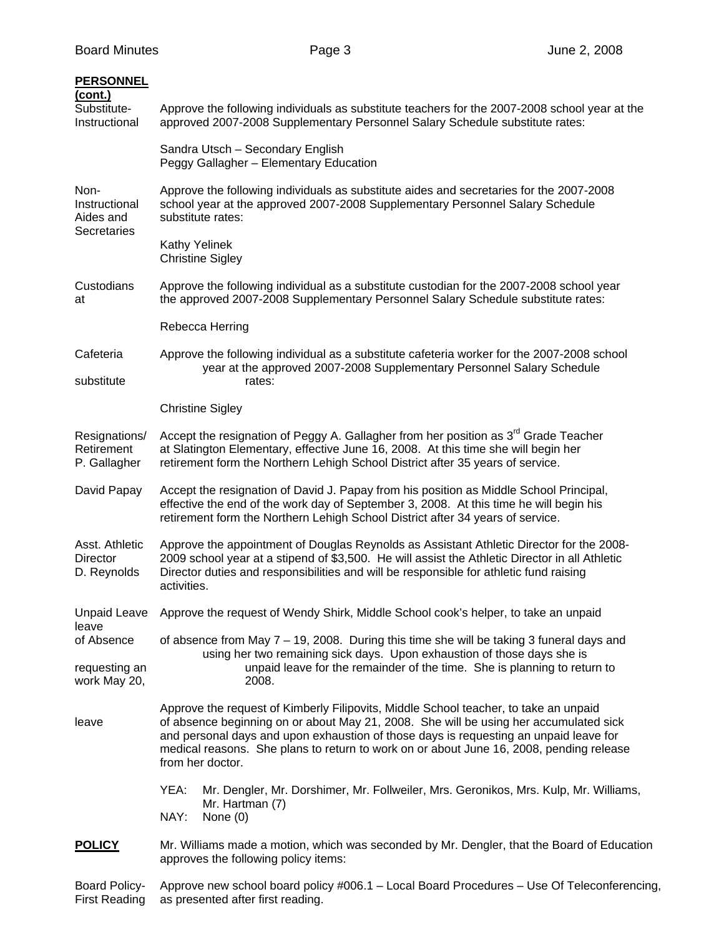| <b>PERSONNEL</b><br>(cont.)                       |                                                                                                                                                                                                                                                                                                                                                                                       |  |  |  |
|---------------------------------------------------|---------------------------------------------------------------------------------------------------------------------------------------------------------------------------------------------------------------------------------------------------------------------------------------------------------------------------------------------------------------------------------------|--|--|--|
| Substitute-<br>Instructional                      | Approve the following individuals as substitute teachers for the 2007-2008 school year at the<br>approved 2007-2008 Supplementary Personnel Salary Schedule substitute rates:                                                                                                                                                                                                         |  |  |  |
|                                                   | Sandra Utsch - Secondary English<br>Peggy Gallagher - Elementary Education                                                                                                                                                                                                                                                                                                            |  |  |  |
| Non-<br>Instructional<br>Aides and<br>Secretaries | Approve the following individuals as substitute aides and secretaries for the 2007-2008<br>school year at the approved 2007-2008 Supplementary Personnel Salary Schedule<br>substitute rates:                                                                                                                                                                                         |  |  |  |
|                                                   | <b>Kathy Yelinek</b><br><b>Christine Sigley</b>                                                                                                                                                                                                                                                                                                                                       |  |  |  |
| Custodians<br>at                                  | Approve the following individual as a substitute custodian for the 2007-2008 school year<br>the approved 2007-2008 Supplementary Personnel Salary Schedule substitute rates:                                                                                                                                                                                                          |  |  |  |
|                                                   | Rebecca Herring                                                                                                                                                                                                                                                                                                                                                                       |  |  |  |
| Cafeteria<br>substitute                           | Approve the following individual as a substitute cafeteria worker for the 2007-2008 school<br>year at the approved 2007-2008 Supplementary Personnel Salary Schedule<br>rates:                                                                                                                                                                                                        |  |  |  |
|                                                   | <b>Christine Sigley</b>                                                                                                                                                                                                                                                                                                                                                               |  |  |  |
| Resignations/<br>Retirement<br>P. Gallagher       | Accept the resignation of Peggy A. Gallagher from her position as 3 <sup>rd</sup> Grade Teacher<br>at Slatington Elementary, effective June 16, 2008. At this time she will begin her<br>retirement form the Northern Lehigh School District after 35 years of service.                                                                                                               |  |  |  |
| David Papay                                       | Accept the resignation of David J. Papay from his position as Middle School Principal,<br>effective the end of the work day of September 3, 2008. At this time he will begin his<br>retirement form the Northern Lehigh School District after 34 years of service.                                                                                                                    |  |  |  |
| Asst. Athletic<br>Director<br>D. Reynolds         | Approve the appointment of Douglas Reynolds as Assistant Athletic Director for the 2008-<br>2009 school year at a stipend of \$3,500. He will assist the Athletic Director in all Athletic<br>Director duties and responsibilities and will be responsible for athletic fund raising<br>activities.                                                                                   |  |  |  |
| Unpaid Leave<br>leave                             | Approve the request of Wendy Shirk, Middle School cook's helper, to take an unpaid                                                                                                                                                                                                                                                                                                    |  |  |  |
| of Absence                                        | of absence from May $7 - 19$ , 2008. During this time she will be taking 3 funeral days and                                                                                                                                                                                                                                                                                           |  |  |  |
| requesting an<br>work May 20,                     | using her two remaining sick days. Upon exhaustion of those days she is<br>unpaid leave for the remainder of the time. She is planning to return to<br>2008.                                                                                                                                                                                                                          |  |  |  |
| leave                                             | Approve the request of Kimberly Filipovits, Middle School teacher, to take an unpaid<br>of absence beginning on or about May 21, 2008. She will be using her accumulated sick<br>and personal days and upon exhaustion of those days is requesting an unpaid leave for<br>medical reasons. She plans to return to work on or about June 16, 2008, pending release<br>from her doctor. |  |  |  |
|                                                   | YEA:<br>Mr. Dengler, Mr. Dorshimer, Mr. Follweiler, Mrs. Geronikos, Mrs. Kulp, Mr. Williams,<br>Mr. Hartman (7)<br>NAY:<br>None $(0)$                                                                                                                                                                                                                                                 |  |  |  |
| <b>POLICY</b>                                     | Mr. Williams made a motion, which was seconded by Mr. Dengler, that the Board of Education<br>approves the following policy items:                                                                                                                                                                                                                                                    |  |  |  |
| <b>Board Policy-</b>                              | Approve new school board policy #006.1 - Local Board Procedures - Use Of Teleconferencing,                                                                                                                                                                                                                                                                                            |  |  |  |

First Reading as presented after first reading.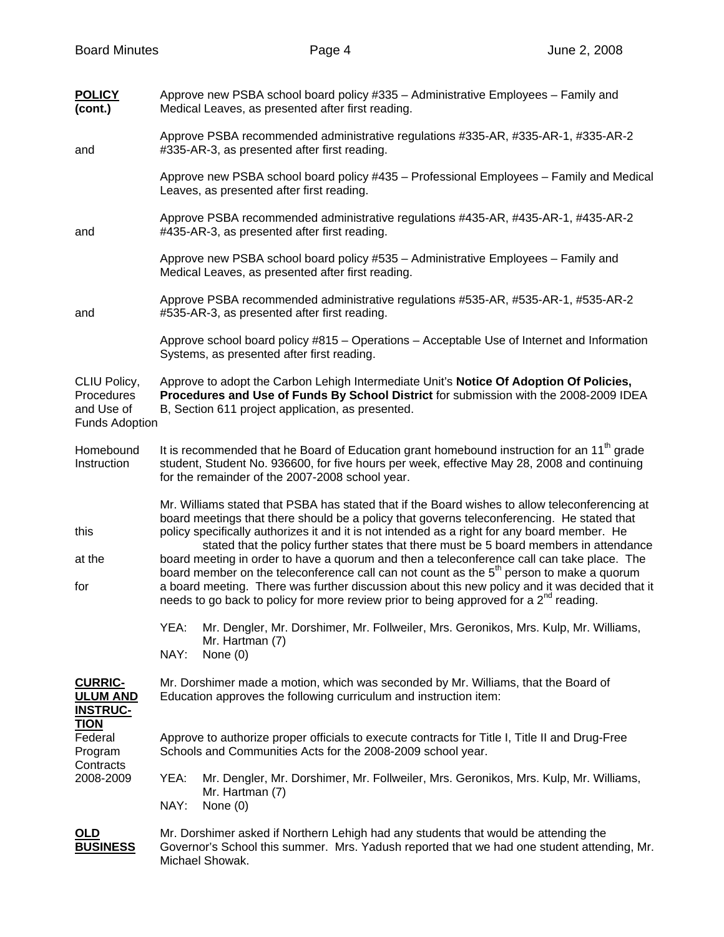| <b>POLICY</b><br>(cont.)                                          | Approve new PSBA school board policy #335 - Administrative Employees - Family and<br>Medical Leaves, as presented after first reading.                                                                                                                                                                                                                                                                                                                                                                                                                                                                                                                                                                                                                                                              |  |  |
|-------------------------------------------------------------------|-----------------------------------------------------------------------------------------------------------------------------------------------------------------------------------------------------------------------------------------------------------------------------------------------------------------------------------------------------------------------------------------------------------------------------------------------------------------------------------------------------------------------------------------------------------------------------------------------------------------------------------------------------------------------------------------------------------------------------------------------------------------------------------------------------|--|--|
| and                                                               | Approve PSBA recommended administrative regulations #335-AR, #335-AR-1, #335-AR-2<br>#335-AR-3, as presented after first reading.                                                                                                                                                                                                                                                                                                                                                                                                                                                                                                                                                                                                                                                                   |  |  |
|                                                                   | Approve new PSBA school board policy #435 - Professional Employees - Family and Medical<br>Leaves, as presented after first reading.                                                                                                                                                                                                                                                                                                                                                                                                                                                                                                                                                                                                                                                                |  |  |
| and                                                               | Approve PSBA recommended administrative regulations #435-AR, #435-AR-1, #435-AR-2<br>#435-AR-3, as presented after first reading.                                                                                                                                                                                                                                                                                                                                                                                                                                                                                                                                                                                                                                                                   |  |  |
|                                                                   | Approve new PSBA school board policy #535 - Administrative Employees - Family and<br>Medical Leaves, as presented after first reading.                                                                                                                                                                                                                                                                                                                                                                                                                                                                                                                                                                                                                                                              |  |  |
| and                                                               | Approve PSBA recommended administrative regulations #535-AR, #535-AR-1, #535-AR-2<br>#535-AR-3, as presented after first reading.                                                                                                                                                                                                                                                                                                                                                                                                                                                                                                                                                                                                                                                                   |  |  |
|                                                                   | Approve school board policy #815 - Operations - Acceptable Use of Internet and Information<br>Systems, as presented after first reading.                                                                                                                                                                                                                                                                                                                                                                                                                                                                                                                                                                                                                                                            |  |  |
| CLIU Policy,<br>Procedures<br>and Use of<br><b>Funds Adoption</b> | Approve to adopt the Carbon Lehigh Intermediate Unit's Notice Of Adoption Of Policies,<br>Procedures and Use of Funds By School District for submission with the 2008-2009 IDEA<br>B, Section 611 project application, as presented.                                                                                                                                                                                                                                                                                                                                                                                                                                                                                                                                                                |  |  |
| Homebound<br>Instruction                                          | It is recommended that he Board of Education grant homebound instruction for an 11 <sup>th</sup> grade<br>student, Student No. 936600, for five hours per week, effective May 28, 2008 and continuing<br>for the remainder of the 2007-2008 school year.                                                                                                                                                                                                                                                                                                                                                                                                                                                                                                                                            |  |  |
| this<br>at the<br>for                                             | Mr. Williams stated that PSBA has stated that if the Board wishes to allow teleconferencing at<br>board meetings that there should be a policy that governs teleconferencing. He stated that<br>policy specifically authorizes it and it is not intended as a right for any board member. He<br>stated that the policy further states that there must be 5 board members in attendance<br>board meeting in order to have a quorum and then a teleconference call can take place. The<br>board member on the teleconference call can not count as the 5 <sup>th</sup> person to make a quorum<br>a board meeting. There was further discussion about this new policy and it was decided that it<br>needs to go back to policy for more review prior to being approved for a 2 <sup>nd</sup> reading. |  |  |
|                                                                   | YEA:<br>Mr. Dengler, Mr. Dorshimer, Mr. Follweiler, Mrs. Geronikos, Mrs. Kulp, Mr. Williams,<br>Mr. Hartman (7)<br>NAY:<br>None $(0)$                                                                                                                                                                                                                                                                                                                                                                                                                                                                                                                                                                                                                                                               |  |  |
| <b>CURRIC-</b><br><b>ULUM AND</b><br><b>INSTRUC-</b>              | Mr. Dorshimer made a motion, which was seconded by Mr. Williams, that the Board of<br>Education approves the following curriculum and instruction item:                                                                                                                                                                                                                                                                                                                                                                                                                                                                                                                                                                                                                                             |  |  |
| <u>TION</u><br>Federal<br>Program<br>Contracts                    | Approve to authorize proper officials to execute contracts for Title I, Title II and Drug-Free<br>Schools and Communities Acts for the 2008-2009 school year.                                                                                                                                                                                                                                                                                                                                                                                                                                                                                                                                                                                                                                       |  |  |
| 2008-2009                                                         | YEA:<br>Mr. Dengler, Mr. Dorshimer, Mr. Follweiler, Mrs. Geronikos, Mrs. Kulp, Mr. Williams,<br>Mr. Hartman (7)<br>NAY:<br>None $(0)$                                                                                                                                                                                                                                                                                                                                                                                                                                                                                                                                                                                                                                                               |  |  |
| <u>OLD</u><br><u>BUSINESS</u>                                     | Mr. Dorshimer asked if Northern Lehigh had any students that would be attending the<br>Governor's School this summer. Mrs. Yadush reported that we had one student attending, Mr.<br>Michael Showak.                                                                                                                                                                                                                                                                                                                                                                                                                                                                                                                                                                                                |  |  |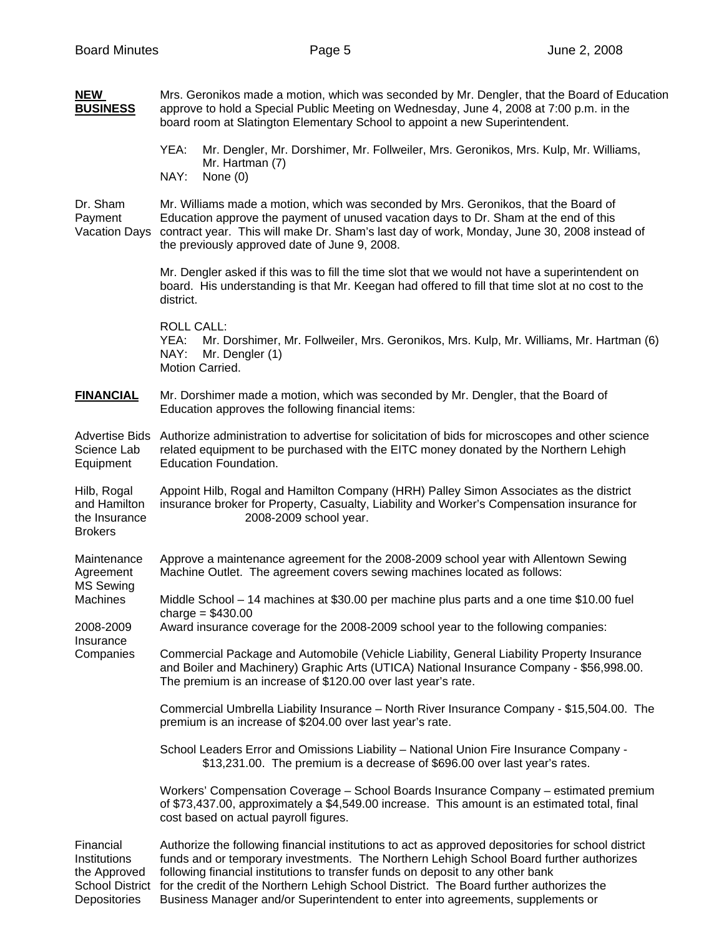| <b>NEW</b><br><b>BUSINESS</b>                                                                   | Mrs. Geronikos made a motion, which was seconded by Mr. Dengler, that the Board of Education<br>approve to hold a Special Public Meeting on Wednesday, June 4, 2008 at 7:00 p.m. in the<br>board room at Slatington Elementary School to appoint a new Superintendent.                                                                                                                                                                                         |  |  |  |  |
|-------------------------------------------------------------------------------------------------|----------------------------------------------------------------------------------------------------------------------------------------------------------------------------------------------------------------------------------------------------------------------------------------------------------------------------------------------------------------------------------------------------------------------------------------------------------------|--|--|--|--|
|                                                                                                 | YEA:<br>Mr. Dengler, Mr. Dorshimer, Mr. Follweiler, Mrs. Geronikos, Mrs. Kulp, Mr. Williams,<br>Mr. Hartman (7)<br>NAY:<br>None $(0)$                                                                                                                                                                                                                                                                                                                          |  |  |  |  |
| Dr. Sham<br>Payment<br><b>Vacation Days</b>                                                     | Mr. Williams made a motion, which was seconded by Mrs. Geronikos, that the Board of<br>Education approve the payment of unused vacation days to Dr. Sham at the end of this<br>contract year. This will make Dr. Sham's last day of work, Monday, June 30, 2008 instead of<br>the previously approved date of June 9, 2008.                                                                                                                                    |  |  |  |  |
|                                                                                                 | Mr. Dengler asked if this was to fill the time slot that we would not have a superintendent on<br>board. His understanding is that Mr. Keegan had offered to fill that time slot at no cost to the<br>district.                                                                                                                                                                                                                                                |  |  |  |  |
|                                                                                                 | <b>ROLL CALL:</b><br>YEA:<br>Mr. Dorshimer, Mr. Follweiler, Mrs. Geronikos, Mrs. Kulp, Mr. Williams, Mr. Hartman (6)<br>NAY:<br>Mr. Dengler (1)<br>Motion Carried.                                                                                                                                                                                                                                                                                             |  |  |  |  |
| <b>FINANCIAL</b>                                                                                | Mr. Dorshimer made a motion, which was seconded by Mr. Dengler, that the Board of<br>Education approves the following financial items:                                                                                                                                                                                                                                                                                                                         |  |  |  |  |
| <b>Advertise Bids</b><br>Science Lab<br>Equipment                                               | Authorize administration to advertise for solicitation of bids for microscopes and other science<br>related equipment to be purchased with the EITC money donated by the Northern Lehigh<br>Education Foundation.                                                                                                                                                                                                                                              |  |  |  |  |
| Hilb, Rogal<br>and Hamilton<br>the Insurance<br><b>Brokers</b>                                  | Appoint Hilb, Rogal and Hamilton Company (HRH) Palley Simon Associates as the district<br>insurance broker for Property, Casualty, Liability and Worker's Compensation insurance for<br>2008-2009 school year.                                                                                                                                                                                                                                                 |  |  |  |  |
| Maintenance<br>Agreement<br><b>MS Sewing</b><br>Machines<br>2008-2009<br>Insurance<br>Companies | Approve a maintenance agreement for the 2008-2009 school year with Allentown Sewing<br>Machine Outlet. The agreement covers sewing machines located as follows:                                                                                                                                                                                                                                                                                                |  |  |  |  |
|                                                                                                 | Middle School – 14 machines at \$30.00 per machine plus parts and a one time \$10.00 fuel<br>charge = $$430.00$                                                                                                                                                                                                                                                                                                                                                |  |  |  |  |
|                                                                                                 | Award insurance coverage for the 2008-2009 school year to the following companies:                                                                                                                                                                                                                                                                                                                                                                             |  |  |  |  |
|                                                                                                 | Commercial Package and Automobile (Vehicle Liability, General Liability Property Insurance<br>and Boiler and Machinery) Graphic Arts (UTICA) National Insurance Company - \$56,998.00.<br>The premium is an increase of \$120.00 over last year's rate.                                                                                                                                                                                                        |  |  |  |  |
|                                                                                                 | Commercial Umbrella Liability Insurance - North River Insurance Company - \$15,504.00. The<br>premium is an increase of \$204.00 over last year's rate.                                                                                                                                                                                                                                                                                                        |  |  |  |  |
|                                                                                                 | School Leaders Error and Omissions Liability - National Union Fire Insurance Company -<br>\$13,231.00. The premium is a decrease of \$696.00 over last year's rates.                                                                                                                                                                                                                                                                                           |  |  |  |  |
|                                                                                                 | Workers' Compensation Coverage - School Boards Insurance Company - estimated premium<br>of \$73,437.00, approximately a \$4,549.00 increase. This amount is an estimated total, final<br>cost based on actual payroll figures.                                                                                                                                                                                                                                 |  |  |  |  |
| Financial<br>Institutions<br>the Approved<br><b>School District</b><br>Depositories             | Authorize the following financial institutions to act as approved depositories for school district<br>funds and or temporary investments. The Northern Lehigh School Board further authorizes<br>following financial institutions to transfer funds on deposit to any other bank<br>for the credit of the Northern Lehigh School District. The Board further authorizes the<br>Business Manager and/or Superintendent to enter into agreements, supplements or |  |  |  |  |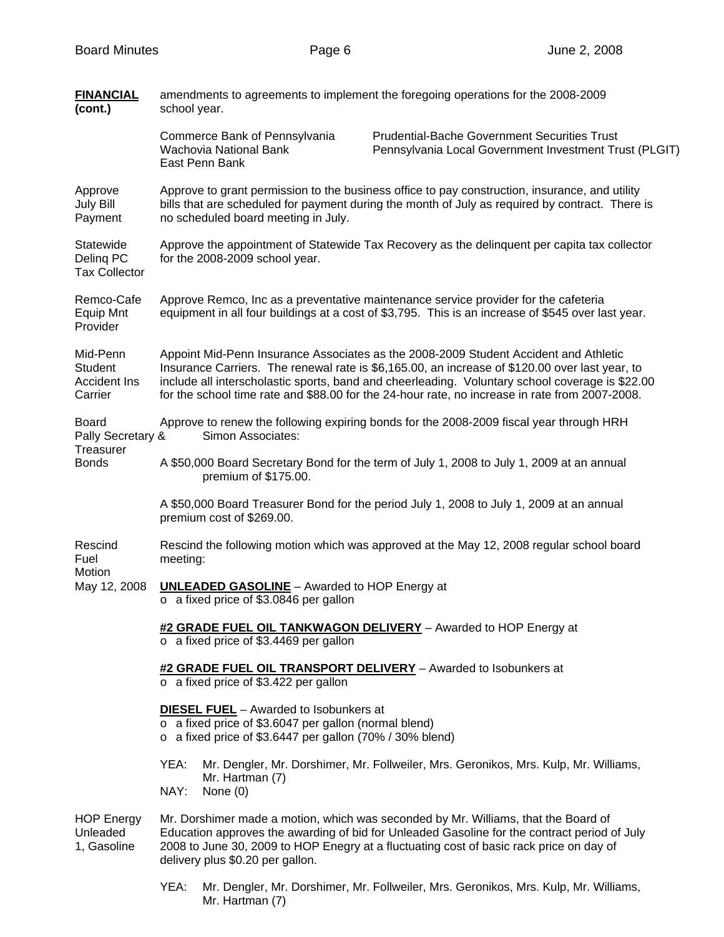| <b>FINANCIAL</b><br>(cont.)                                    | amendments to agreements to implement the foregoing operations for the 2008-2009<br>school year.                                                                                                                                                                                                                                                                                            |  |  |  |  |
|----------------------------------------------------------------|---------------------------------------------------------------------------------------------------------------------------------------------------------------------------------------------------------------------------------------------------------------------------------------------------------------------------------------------------------------------------------------------|--|--|--|--|
|                                                                | <b>Prudential-Bache Government Securities Trust</b><br>Commerce Bank of Pennsylvania<br>Wachovia National Bank<br>Pennsylvania Local Government Investment Trust (PLGIT)<br>East Penn Bank                                                                                                                                                                                                  |  |  |  |  |
| Approve<br><b>July Bill</b><br>Payment                         | Approve to grant permission to the business office to pay construction, insurance, and utility<br>bills that are scheduled for payment during the month of July as required by contract. There is<br>no scheduled board meeting in July.                                                                                                                                                    |  |  |  |  |
| Statewide<br>Deling PC<br><b>Tax Collector</b>                 | Approve the appointment of Statewide Tax Recovery as the delinquent per capita tax collector<br>for the 2008-2009 school year.                                                                                                                                                                                                                                                              |  |  |  |  |
| Remco-Cafe<br><b>Equip Mnt</b><br>Provider                     | Approve Remco, Inc as a preventative maintenance service provider for the cafeteria<br>equipment in all four buildings at a cost of \$3,795. This is an increase of \$545 over last year.                                                                                                                                                                                                   |  |  |  |  |
| Mid-Penn<br><b>Student</b><br><b>Accident Ins</b><br>Carrier   | Appoint Mid-Penn Insurance Associates as the 2008-2009 Student Accident and Athletic<br>Insurance Carriers. The renewal rate is \$6,165.00, an increase of \$120.00 over last year, to<br>include all interscholastic sports, band and cheerleading. Voluntary school coverage is \$22.00<br>for the school time rate and \$88.00 for the 24-hour rate, no increase in rate from 2007-2008. |  |  |  |  |
| <b>Board</b><br>Pally Secretary &<br>Treasurer<br><b>Bonds</b> | Approve to renew the following expiring bonds for the 2008-2009 fiscal year through HRH<br>Simon Associates:                                                                                                                                                                                                                                                                                |  |  |  |  |
|                                                                | A \$50,000 Board Secretary Bond for the term of July 1, 2008 to July 1, 2009 at an annual<br>premium of \$175.00.                                                                                                                                                                                                                                                                           |  |  |  |  |
|                                                                | A \$50,000 Board Treasurer Bond for the period July 1, 2008 to July 1, 2009 at an annual<br>premium cost of \$269.00.                                                                                                                                                                                                                                                                       |  |  |  |  |
| Rescind<br>Fuel<br>Motion<br>May 12, 2008                      | Rescind the following motion which was approved at the May 12, 2008 regular school board<br>meeting:                                                                                                                                                                                                                                                                                        |  |  |  |  |
|                                                                | <b>UNLEADED GASOLINE</b> - Awarded to HOP Energy at<br>$\circ$ a fixed price of \$3.0846 per gallon                                                                                                                                                                                                                                                                                         |  |  |  |  |
|                                                                | #2 GRADE FUEL OIL TANKWAGON DELIVERY - Awarded to HOP Energy at<br>$\circ$ a fixed price of \$3.4469 per gallon                                                                                                                                                                                                                                                                             |  |  |  |  |
|                                                                | #2 GRADE FUEL OIL TRANSPORT DELIVERY - Awarded to Isobunkers at<br>$\circ$ a fixed price of \$3.422 per gallon                                                                                                                                                                                                                                                                              |  |  |  |  |
|                                                                | <b>DIESEL FUEL</b> - Awarded to Isobunkers at<br>o a fixed price of \$3.6047 per gallon (normal blend)<br>$\circ$ a fixed price of \$3.6447 per gallon (70% / 30% blend)                                                                                                                                                                                                                    |  |  |  |  |
|                                                                | Mr. Dengler, Mr. Dorshimer, Mr. Follweiler, Mrs. Geronikos, Mrs. Kulp, Mr. Williams,<br>YEA:<br>Mr. Hartman (7)<br>NAY:<br>None (0)                                                                                                                                                                                                                                                         |  |  |  |  |
| <b>HOP Energy</b><br>Unleaded<br>1, Gasoline                   | Mr. Dorshimer made a motion, which was seconded by Mr. Williams, that the Board of<br>Education approves the awarding of bid for Unleaded Gasoline for the contract period of July<br>2008 to June 30, 2009 to HOP Enegry at a fluctuating cost of basic rack price on day of<br>delivery plus \$0.20 per gallon.                                                                           |  |  |  |  |

 YEA: Mr. Dengler, Mr. Dorshimer, Mr. Follweiler, Mrs. Geronikos, Mrs. Kulp, Mr. Williams, Mr. Hartman (7)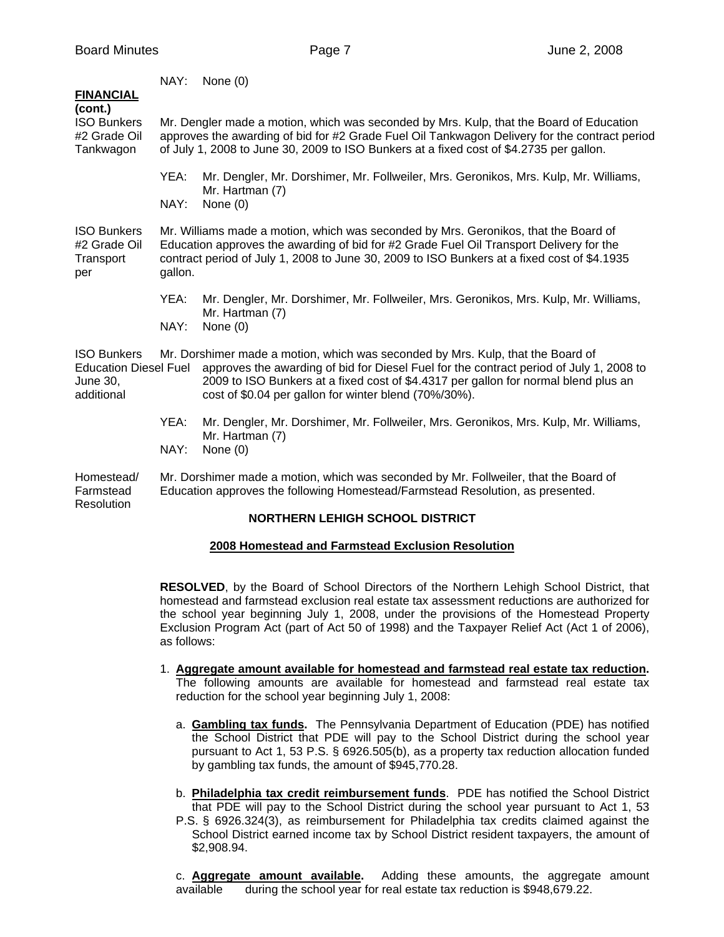| <b>FINANCIAL</b>                                                             | NAY:                                                                                                                                                                                                                                                                                     | None $(0)$                                                                                                                                                                                                                                                                                                                 |  |  |
|------------------------------------------------------------------------------|------------------------------------------------------------------------------------------------------------------------------------------------------------------------------------------------------------------------------------------------------------------------------------------|----------------------------------------------------------------------------------------------------------------------------------------------------------------------------------------------------------------------------------------------------------------------------------------------------------------------------|--|--|
| (cont.)<br><b>ISO Bunkers</b><br>#2 Grade Oil<br>Tankwagon                   | Mr. Dengler made a motion, which was seconded by Mrs. Kulp, that the Board of Education<br>approves the awarding of bid for #2 Grade Fuel Oil Tankwagon Delivery for the contract period<br>of July 1, 2008 to June 30, 2009 to ISO Bunkers at a fixed cost of \$4.2735 per gallon.      |                                                                                                                                                                                                                                                                                                                            |  |  |
|                                                                              | YEA:                                                                                                                                                                                                                                                                                     | Mr. Dengler, Mr. Dorshimer, Mr. Follweiler, Mrs. Geronikos, Mrs. Kulp, Mr. Williams,<br>Mr. Hartman (7)<br>None $(0)$                                                                                                                                                                                                      |  |  |
|                                                                              | NAY:                                                                                                                                                                                                                                                                                     |                                                                                                                                                                                                                                                                                                                            |  |  |
| <b>ISO Bunkers</b><br>#2 Grade Oil<br>Transport<br>per                       | Mr. Williams made a motion, which was seconded by Mrs. Geronikos, that the Board of<br>Education approves the awarding of bid for #2 Grade Fuel Oil Transport Delivery for the<br>contract period of July 1, 2008 to June 30, 2009 to ISO Bunkers at a fixed cost of \$4.1935<br>gallon. |                                                                                                                                                                                                                                                                                                                            |  |  |
|                                                                              | YEA:                                                                                                                                                                                                                                                                                     | Mr. Dengler, Mr. Dorshimer, Mr. Follweiler, Mrs. Geronikos, Mrs. Kulp, Mr. Williams,<br>Mr. Hartman (7)                                                                                                                                                                                                                    |  |  |
|                                                                              | NAY:                                                                                                                                                                                                                                                                                     | None $(0)$                                                                                                                                                                                                                                                                                                                 |  |  |
| <b>ISO Bunkers</b><br><b>Education Diesel Fuel</b><br>June 30,<br>additional |                                                                                                                                                                                                                                                                                          | Mr. Dorshimer made a motion, which was seconded by Mrs. Kulp, that the Board of<br>approves the awarding of bid for Diesel Fuel for the contract period of July 1, 2008 to<br>2009 to ISO Bunkers at a fixed cost of \$4.4317 per gallon for normal blend plus an<br>cost of \$0.04 per gallon for winter blend (70%/30%). |  |  |
|                                                                              | YEA:                                                                                                                                                                                                                                                                                     | Mr. Dengler, Mr. Dorshimer, Mr. Follweiler, Mrs. Geronikos, Mrs. Kulp, Mr. Williams,<br>Mr. Hartman (7)                                                                                                                                                                                                                    |  |  |
|                                                                              | NAY:                                                                                                                                                                                                                                                                                     | None $(0)$                                                                                                                                                                                                                                                                                                                 |  |  |
| Homestead/<br>Farmstead<br>Resolution                                        | Mr. Dorshimer made a motion, which was seconded by Mr. Follweiler, that the Board of<br>Education approves the following Homestead/Farmstead Resolution, as presented.                                                                                                                   |                                                                                                                                                                                                                                                                                                                            |  |  |
| <b>NORTHERN LEHIGH SCHOOL DISTRICT</b>                                       |                                                                                                                                                                                                                                                                                          |                                                                                                                                                                                                                                                                                                                            |  |  |

# **2008 Homestead and Farmstead Exclusion Resolution**

**RESOLVED**, by the Board of School Directors of the Northern Lehigh School District, that homestead and farmstead exclusion real estate tax assessment reductions are authorized for the school year beginning July 1, 2008, under the provisions of the Homestead Property Exclusion Program Act (part of Act 50 of 1998) and the Taxpayer Relief Act (Act 1 of 2006), as follows:

- 1. **Aggregate amount available for homestead and farmstead real estate tax reduction.** The following amounts are available for homestead and farmstead real estate tax reduction for the school year beginning July 1, 2008:
	- a. **Gambling tax funds.** The Pennsylvania Department of Education (PDE) has notified the School District that PDE will pay to the School District during the school year pursuant to Act 1, 53 P.S. § 6926.505(b), as a property tax reduction allocation funded by gambling tax funds, the amount of \$945,770.28.
	- b. **Philadelphia tax credit reimbursement funds**. PDE has notified the School District that PDE will pay to the School District during the school year pursuant to Act 1, 53
	- P.S. § 6926.324(3), as reimbursement for Philadelphia tax credits claimed against the School District earned income tax by School District resident taxpayers, the amount of \$2,908.94.

c. **Aggregate amount available.** Adding these amounts, the aggregate amount available during the school year for real estate tax reduction is \$948,679.22.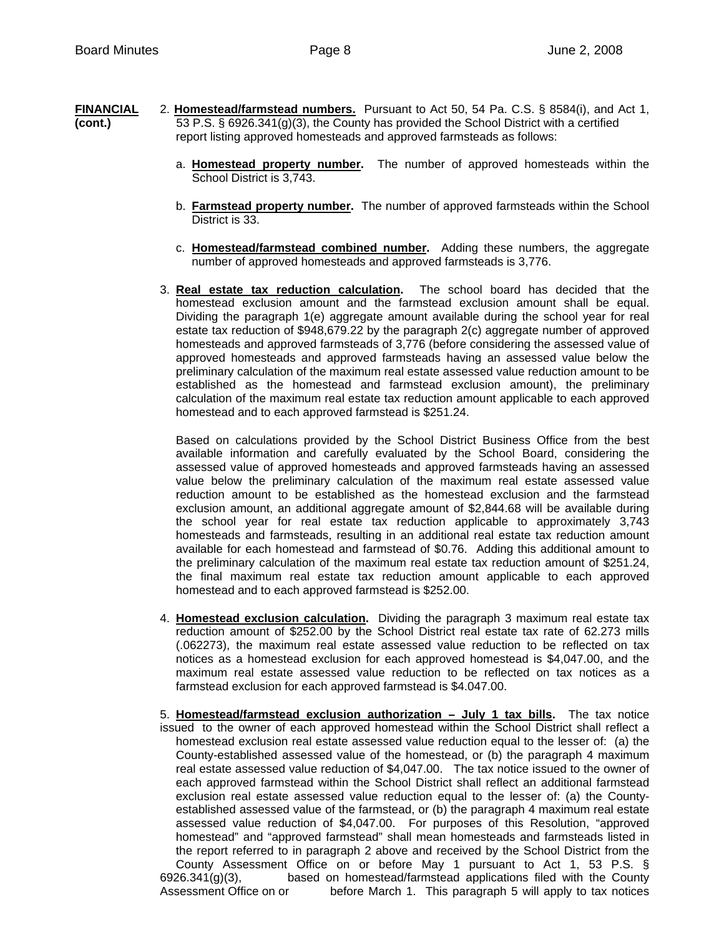- **FINANCIAL** 2. **Homestead/farmstead numbers.** Pursuant to Act 50, 54 Pa. C.S. § 8584(i), and Act 1, **(cont.)** 53 P.S. § 6926.341(g)(3), the County has provided the School District with a certified report listing approved homesteads and approved farmsteads as follows:
	- a. **Homestead property number.** The number of approved homesteads within the School District is 3,743.
	- b. **Farmstead property number.** The number of approved farmsteads within the School District is 33.
	- c. **Homestead/farmstead combined number.** Adding these numbers, the aggregate number of approved homesteads and approved farmsteads is 3,776.
	- 3. **Real estate tax reduction calculation.** The school board has decided that the homestead exclusion amount and the farmstead exclusion amount shall be equal. Dividing the paragraph 1(e) aggregate amount available during the school year for real estate tax reduction of \$948,679.22 by the paragraph 2(c) aggregate number of approved homesteads and approved farmsteads of 3,776 (before considering the assessed value of approved homesteads and approved farmsteads having an assessed value below the preliminary calculation of the maximum real estate assessed value reduction amount to be established as the homestead and farmstead exclusion amount), the preliminary calculation of the maximum real estate tax reduction amount applicable to each approved homestead and to each approved farmstead is \$251.24.

Based on calculations provided by the School District Business Office from the best available information and carefully evaluated by the School Board, considering the assessed value of approved homesteads and approved farmsteads having an assessed value below the preliminary calculation of the maximum real estate assessed value reduction amount to be established as the homestead exclusion and the farmstead exclusion amount, an additional aggregate amount of \$2,844.68 will be available during the school year for real estate tax reduction applicable to approximately 3,743 homesteads and farmsteads, resulting in an additional real estate tax reduction amount available for each homestead and farmstead of \$0.76. Adding this additional amount to the preliminary calculation of the maximum real estate tax reduction amount of \$251.24, the final maximum real estate tax reduction amount applicable to each approved homestead and to each approved farmstead is \$252.00.

- 4. **Homestead exclusion calculation.** Dividing the paragraph 3 maximum real estate tax reduction amount of \$252.00 by the School District real estate tax rate of 62.273 mills (.062273), the maximum real estate assessed value reduction to be reflected on tax notices as a homestead exclusion for each approved homestead is \$4,047.00, and the maximum real estate assessed value reduction to be reflected on tax notices as a farmstead exclusion for each approved farmstead is \$4.047.00.
- 5. **Homestead/farmstead exclusion authorization July 1 tax bills.** The tax notice issued to the owner of each approved homestead within the School District shall reflect a homestead exclusion real estate assessed value reduction equal to the lesser of: (a) the County-established assessed value of the homestead, or (b) the paragraph 4 maximum real estate assessed value reduction of \$4,047.00. The tax notice issued to the owner of each approved farmstead within the School District shall reflect an additional farmstead exclusion real estate assessed value reduction equal to the lesser of: (a) the County established assessed value of the farmstead, or (b) the paragraph 4 maximum real estate assessed value reduction of \$4,047.00. For purposes of this Resolution, "approved homestead" and "approved farmstead" shall mean homesteads and farmsteads listed in the report referred to in paragraph 2 above and received by the School District from the County Assessment Office on or before May 1 pursuant to Act 1, 53 P.S. §  $6926.341(g)(3)$ , based on homestead/farmstead applications filed with the County Assessment Office on or before March 1. This paragraph 5 will apply to tax notices before March 1. This paragraph 5 will apply to tax notices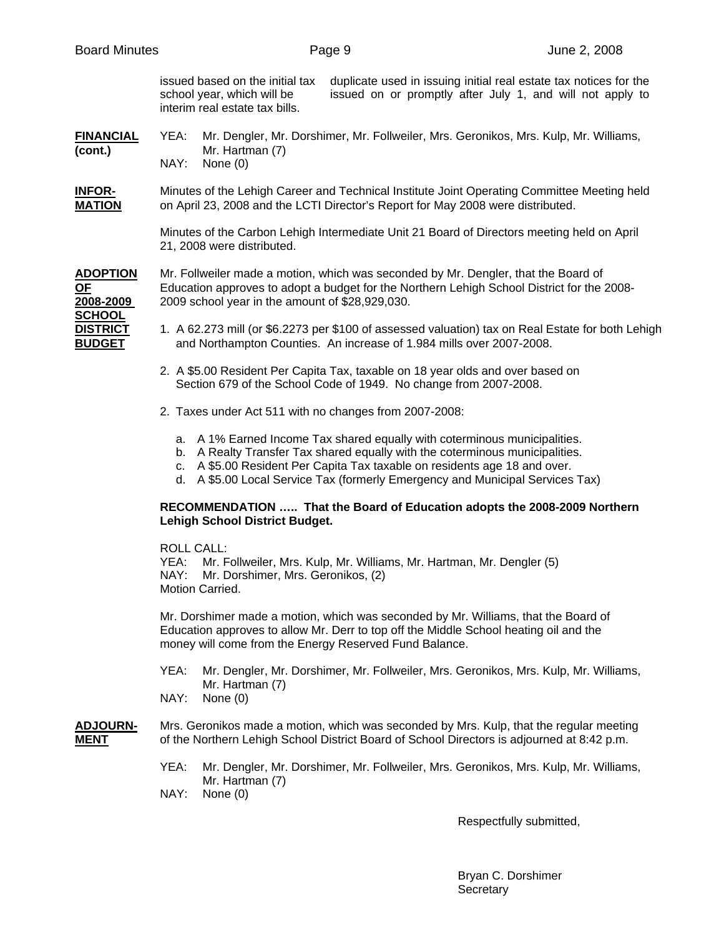issued based on the initial tax duplicate used in issuing initial real estate tax notices for the school year, which will be issued on or promptly after July 1, and will not apply to interim real estate tax bills.

#### **FINANCIAL** YEA: Mr. Dengler, Mr. Dorshimer, Mr. Follweiler, Mrs. Geronikos, Mrs. Kulp, Mr. Williams, **(cont.)** Mr. Hartman (7) NAY: None (0)

**INFOR-** Minutes of the Lehigh Career and Technical Institute Joint Operating Committee Meeting held **MATION** on April 23, 2008 and the LCTI Director's Report for May 2008 were distributed.

> Minutes of the Carbon Lehigh Intermediate Unit 21 Board of Directors meeting held on April 21, 2008 were distributed.

**ADOPTION** Mr. Follweiler made a motion, which was seconded by Mr. Dengler, that the Board of **OF** Education approves to adopt a budget for the Northern Lehigh School District for the 2008-**2008-2009** 2009 school year in the amount of \$28,929,030.

**SCHOOL**

- **DISTRICT** 1. A 62.273 mill (or \$6.2273 per \$100 of assessed valuation) tax on Real Estate for both Lehigh **BUDGET** and Northampton Counties. An increase of 1.984 mills over 2007-2008.
	- 2. A \$5.00 Resident Per Capita Tax, taxable on 18 year olds and over based on Section 679 of the School Code of 1949. No change from 2007-2008.
	- 2. Taxes under Act 511 with no changes from 2007-2008:
		- a. A 1% Earned Income Tax shared equally with coterminous municipalities.
		- b. A Realty Transfer Tax shared equally with the coterminous municipalities.
		- c. A \$5.00 Resident Per Capita Tax taxable on residents age 18 and over.
		- d. A \$5.00 Local Service Tax (formerly Emergency and Municipal Services Tax)

## **RECOMMENDATION ….. That the Board of Education adopts the 2008-2009 Northern Lehigh School District Budget.**

ROLL CALL:

 YEA: Mr. Follweiler, Mrs. Kulp, Mr. Williams, Mr. Hartman, Mr. Dengler (5) NAY: Mr. Dorshimer, Mrs. Geronikos, (2) Motion Carried.

Mr. Dorshimer made a motion, which was seconded by Mr. Williams, that the Board of Education approves to allow Mr. Derr to top off the Middle School heating oil and the money will come from the Energy Reserved Fund Balance.

- YEA: Mr. Dengler, Mr. Dorshimer, Mr. Follweiler, Mrs. Geronikos, Mrs. Kulp, Mr. Williams, Mr. Hartman (7)
- NAY: None (0)

## **ADJOURN-** Mrs. Geronikos made a motion, which was seconded by Mrs. Kulp, that the regular meeting **MENT** of the Northern Lehigh School District Board of School Directors is adjourned at 8:42 p.m.

YEA: Mr. Dengler, Mr. Dorshimer, Mr. Follweiler, Mrs. Geronikos, Mrs. Kulp, Mr. Williams, Mr. Hartman (7)

NAY: None (0)

Respectfully submitted,

 Bryan C. Dorshimer **Secretary**